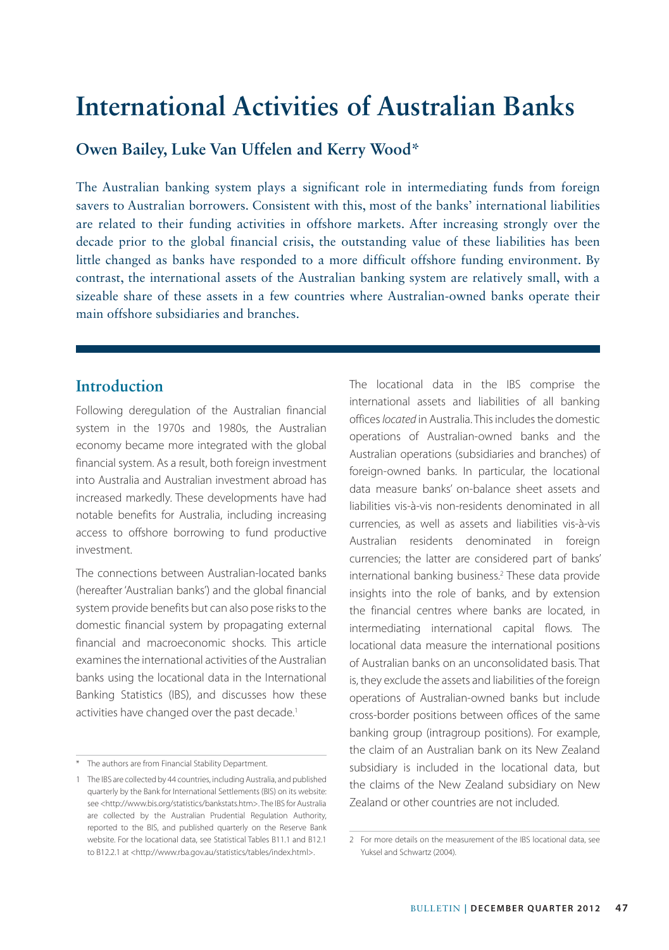**Owen Bailey, Luke Van Uffelen and Kerry Wood\***

The Australian banking system plays a significant role in intermediating funds from foreign savers to Australian borrowers. Consistent with this, most of the banks' international liabilities are related to their funding activities in offshore markets. After increasing strongly over the decade prior to the global financial crisis, the outstanding value of these liabilities has been little changed as banks have responded to a more difficult offshore funding environment. By contrast, the international assets of the Australian banking system are relatively small, with a sizeable share of these assets in a few countries where Australian-owned banks operate their main offshore subsidiaries and branches.

## **Introduction**

Following deregulation of the Australian financial system in the 1970s and 1980s, the Australian economy became more integrated with the global financial system. As a result, both foreign investment into Australia and Australian investment abroad has increased markedly. These developments have had notable benefits for Australia, including increasing access to offshore borrowing to fund productive investment.

The connections between Australian-located banks (hereafter 'Australian banks') and the global financial system provide benefits but can also pose risks to the domestic financial system by propagating external financial and macroeconomic shocks. This article examines the international activities of the Australian banks using the locational data in the International Banking Statistics (IBS), and discusses how these activities have changed over the past decade.<sup>1</sup>

The locational data in the IBS comprise the international assets and liabilities of all banking offices *located* in Australia. This includes the domestic operations of Australian-owned banks and the Australian operations (subsidiaries and branches) of foreign-owned banks. In particular, the locational data measure banks' on-balance sheet assets and liabilities vis-à-vis non-residents denominated in all currencies, as well as assets and liabilities vis-à-vis Australian residents denominated in foreign currencies; the latter are considered part of banks' international banking business.2 These data provide insights into the role of banks, and by extension the financial centres where banks are located, in intermediating international capital flows. The locational data measure the international positions of Australian banks on an unconsolidated basis. That is, they exclude the assets and liabilities of the foreign operations of Australian-owned banks but include cross-border positions between offices of the same banking group (intragroup positions). For example, the claim of an Australian bank on its New Zealand subsidiary is included in the locational data, but the claims of the New Zealand subsidiary on New Zealand or other countries are not included.

<sup>\*</sup> The authors are from Financial Stability Department.

<sup>1</sup> The IBS are collected by 44 countries, including Australia, and published quarterly by the Bank for International Settlements (BIS) on its website: see <http://www.bis.org/statistics/bankstats.htm>. The IBS for Australia are collected by the Australian Prudential Regulation Authority, reported to the BIS, and published quarterly on the Reserve Bank website. For the locational data, see Statistical Tables B11.1 and B12.1 to B12.2.1 at <http://www.rba.gov.au/statistics/tables/index.html>.

<sup>2</sup> For more details on the measurement of the IBS locational data, see Yuksel and Schwartz (2004).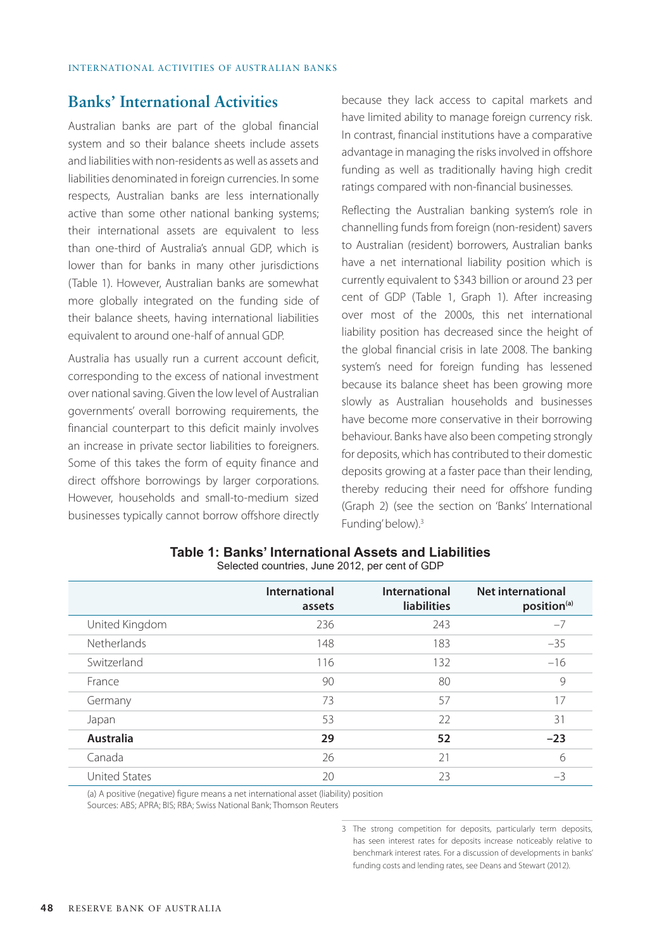## **Banks' International Activities**

Australian banks are part of the global financial system and so their balance sheets include assets and liabilities with non-residents as well as assets and liabilities denominated in foreign currencies. In some respects, Australian banks are less internationally active than some other national banking systems; their international assets are equivalent to less than one-third of Australia's annual GDP, which is lower than for banks in many other jurisdictions (Table 1). However, Australian banks are somewhat more globally integrated on the funding side of their balance sheets, having international liabilities equivalent to around one-half of annual GDP.

Australia has usually run a current account deficit, corresponding to the excess of national investment over national saving. Given the low level of Australian governments' overall borrowing requirements, the financial counterpart to this deficit mainly involves an increase in private sector liabilities to foreigners. Some of this takes the form of equity finance and direct offshore borrowings by larger corporations. However, households and small-to-medium sized businesses typically cannot borrow offshore directly because they lack access to capital markets and have limited ability to manage foreign currency risk. In contrast, financial institutions have a comparative advantage in managing the risks involved in offshore funding as well as traditionally having high credit ratings compared with non-financial businesses.

Reflecting the Australian banking system's role in channelling funds from foreign (non-resident) savers to Australian (resident) borrowers, Australian banks have a net international liability position which is currently equivalent to \$343 billion or around 23 per cent of GDP (Table 1, Graph 1). After increasing over most of the 2000s, this net international liability position has decreased since the height of the global financial crisis in late 2008. The banking system's need for foreign funding has lessened because its balance sheet has been growing more slowly as Australian households and businesses have become more conservative in their borrowing behaviour. Banks have also been competing strongly for deposits, which has contributed to their domestic deposits growing at a faster pace than their lending, thereby reducing their need for offshore funding (Graph 2) (see the section on 'Banks' International Funding' below).<sup>3</sup>

|                      | International<br>assets | International<br><b>liabilities</b> | <b>Net international</b><br>position <sup>(a)</sup> |
|----------------------|-------------------------|-------------------------------------|-----------------------------------------------------|
| United Kingdom       | 236                     | 243                                 | $-7$                                                |
| <b>Netherlands</b>   | 148                     | 183                                 | $-35$                                               |
| Switzerland          | 116                     | 132                                 | $-16$                                               |
| France               | 90                      | 80                                  | 9                                                   |
| Germany              | 73                      | 57                                  | 17                                                  |
| Japan                | 53                      | 22                                  | 31                                                  |
| Australia            | 29                      | 52                                  | $-23$                                               |
| Canada               | 26                      | 21                                  | 6                                                   |
| <b>United States</b> | 20                      | 23                                  | $-3$                                                |
|                      |                         |                                     |                                                     |

**Table 1: Banks' International Assets and Liabilities** Selected countries, June 2012, per cent of GDP

(a) A positive (negative) figure means a net international asset (liability) position Sources: ABS; APRA; BIS; RBA; Swiss National Bank; Thomson Reuters

> 3 The strong competition for deposits, particularly term deposits, has seen interest rates for deposits increase noticeably relative to benchmark interest rates. For a discussion of developments in banks' funding costs and lending rates, see Deans and Stewart (2012).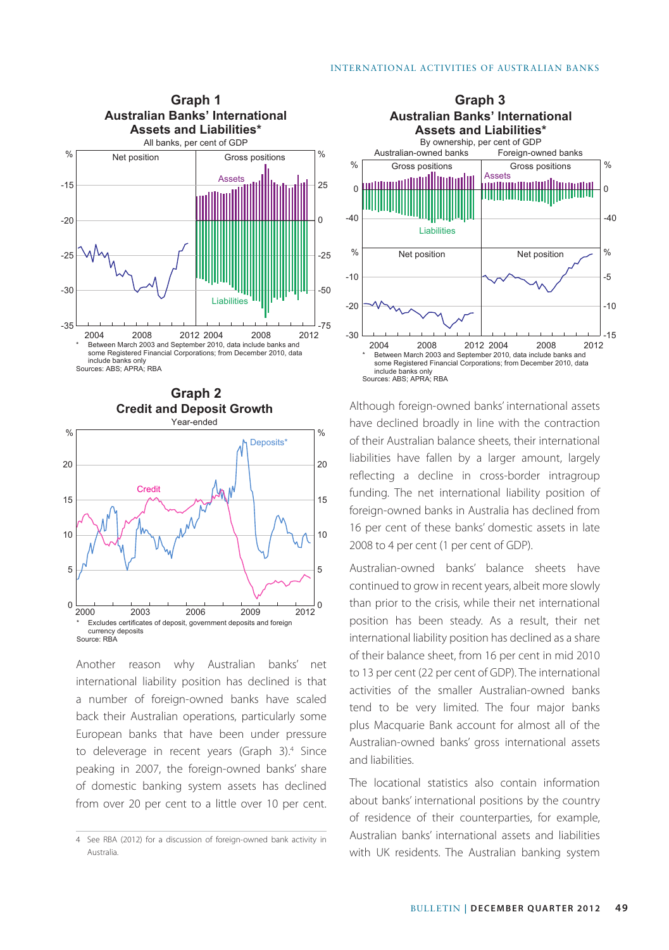



Another reason why Australian banks' net international liability position has declined is that a number of foreign-owned banks have scaled back their Australian operations, particularly some European banks that have been under pressure to deleverage in recent years (Graph 3).<sup>4</sup> Since peaking in 2007, the foreign-owned banks' share of domestic banking system assets has declined from over 20 per cent to a little over 10 per cent.



Although foreign-owned banks' international assets have declined broadly in line with the contraction of their Australian balance sheets, their international liabilities have fallen by a larger amount, largely reflecting a decline in cross-border intragroup funding. The net international liability position of foreign-owned banks in Australia has declined from 16 per cent of these banks' domestic assets in late 2008 to 4 per cent (1 per cent of GDP).

Australian-owned banks' balance sheets have continued to grow in recent years, albeit more slowly than prior to the crisis, while their net international position has been steady. As a result, their net international liability position has declined as a share of their balance sheet, from 16 per cent in mid 2010 to 13 per cent (22 per cent of GDP). The international activities of the smaller Australian-owned banks tend to be very limited. The four major banks plus Macquarie Bank account for almost all of the Australian-owned banks' gross international assets and liabilities.

The locational statistics also contain information about banks' international positions by the country of residence of their counterparties, for example, Australian banks' international assets and liabilities with UK residents. The Australian banking system

<sup>4</sup> See RBA (2012) for a discussion of foreign-owned bank activity in Australia.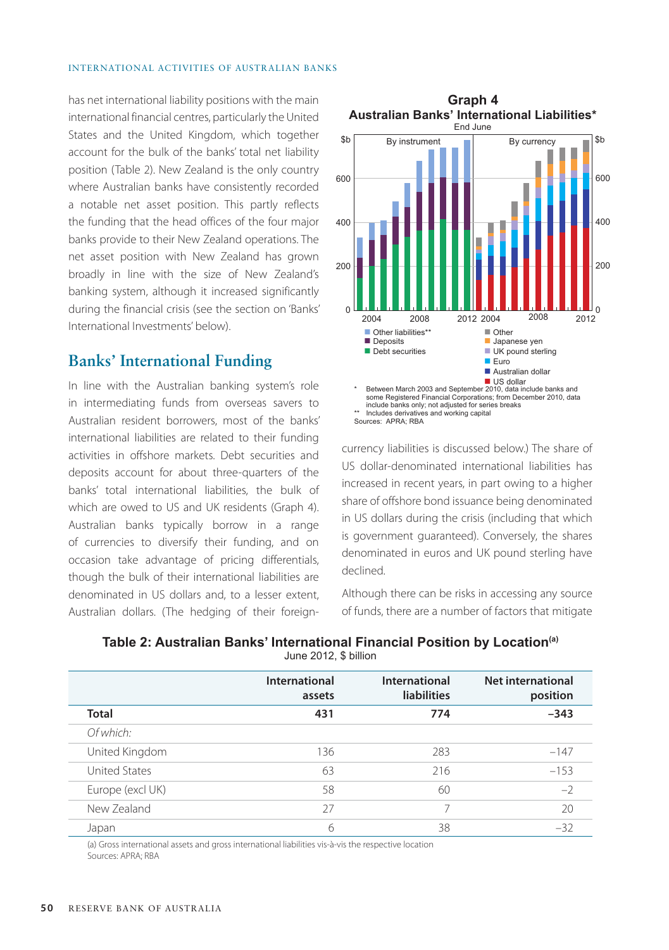has net international liability positions with the main international financial centres, particularly the United States and the United Kingdom, which together account for the bulk of the banks' total net liability position (Table 2). New Zealand is the only country where Australian banks have consistently recorded a notable net asset position. This partly reflects the funding that the head offices of the four major banks provide to their New Zealand operations. The net asset position with New Zealand has grown broadly in line with the size of New Zealand's banking system, although it increased significantly during the financial crisis (see the section on 'Banks' International Investments' below).

## **Banks' International Funding**

In line with the Australian banking system's role in intermediating funds from overseas savers to Australian resident borrowers, most of the banks' international liabilities are related to their funding activities in offshore markets. Debt securities and deposits account for about three-quarters of the banks' total international liabilities, the bulk of which are owed to US and UK residents (Graph 4). Australian banks typically borrow in a range of currencies to diversify their funding, and on occasion take advantage of pricing differentials, though the bulk of their international liabilities are denominated in US dollars and, to a lesser extent, Australian dollars. (The hedging of their foreign-



currency liabilities is discussed below.) The share of US dollar-denominated international liabilities has increased in recent years, in part owing to a higher share of offshore bond issuance being denominated in US dollars during the crisis (including that which is government guaranteed). Conversely, the shares denominated in euros and UK pound sterling have declined.

Although there can be risks in accessing any source of funds, there are a number of factors that mitigate

|                      | International<br>assets | International<br><b>liabilities</b> | Net international<br>position |
|----------------------|-------------------------|-------------------------------------|-------------------------------|
| <b>Total</b>         | 431                     | 774                                 | $-343$                        |
| Of which:            |                         |                                     |                               |
| United Kingdom       | 136                     | 283                                 | $-147$                        |
| <b>United States</b> | 63                      | 216                                 | $-153$                        |
| Europe (excl UK)     | 58                      | 60                                  | $-2$                          |
| New Zealand          | 27                      |                                     | 20                            |
| Japan                | 6                       | 38                                  | $-32$                         |

#### **Table 2: Australian Banks' International Financial Position by Location(a)** June 2012, \$ billion

(a) Gross international assets and gross international liabilities vis-à-vis the respective location Sources: APRA; RBA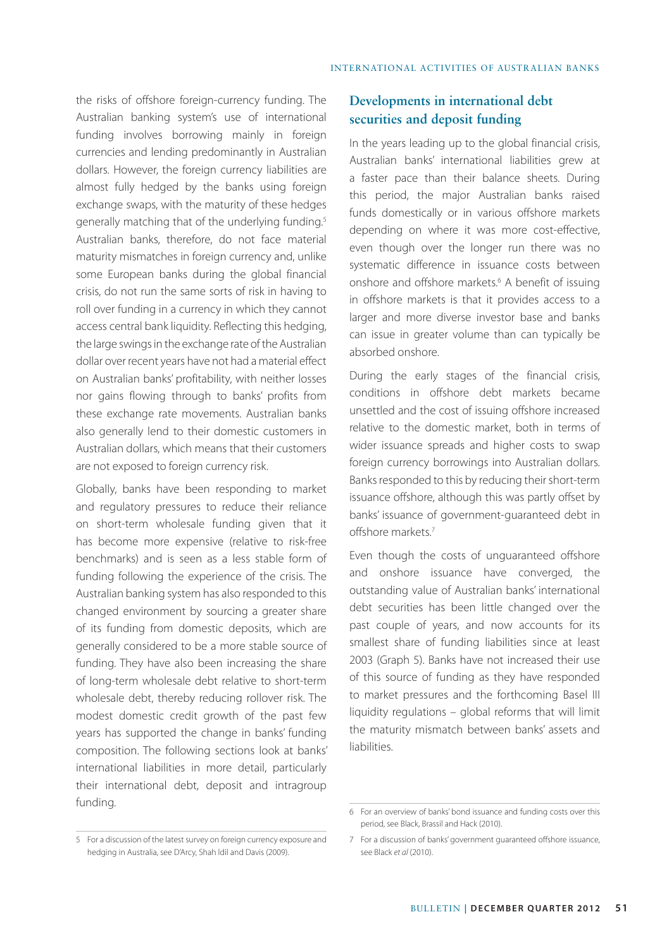the risks of offshore foreign-currency funding. The Australian banking system's use of international funding involves borrowing mainly in foreign currencies and lending predominantly in Australian dollars. However, the foreign currency liabilities are almost fully hedged by the banks using foreign exchange swaps, with the maturity of these hedges generally matching that of the underlying funding.5 Australian banks, therefore, do not face material maturity mismatches in foreign currency and, unlike some European banks during the global financial crisis, do not run the same sorts of risk in having to roll over funding in a currency in which they cannot access central bank liquidity. Reflecting this hedging, the large swings in the exchange rate of the Australian dollar over recent years have not had a material effect on Australian banks' profitability, with neither losses nor gains flowing through to banks' profits from these exchange rate movements. Australian banks also generally lend to their domestic customers in Australian dollars, which means that their customers are not exposed to foreign currency risk.

Globally, banks have been responding to market and regulatory pressures to reduce their reliance on short-term wholesale funding given that it has become more expensive (relative to risk-free benchmarks) and is seen as a less stable form of funding following the experience of the crisis. The Australian banking system has also responded to this changed environment by sourcing a greater share of its funding from domestic deposits, which are generally considered to be a more stable source of funding. They have also been increasing the share of long-term wholesale debt relative to short-term wholesale debt, thereby reducing rollover risk. The modest domestic credit growth of the past few years has supported the change in banks' funding composition. The following sections look at banks' international liabilities in more detail, particularly their international debt, deposit and intragroup funding.

# **Developments in international debt securities and deposit funding**

In the years leading up to the global financial crisis, Australian banks' international liabilities grew at a faster pace than their balance sheets. During this period, the major Australian banks raised funds domestically or in various offshore markets depending on where it was more cost-effective, even though over the longer run there was no systematic difference in issuance costs between onshore and offshore markets.<sup>6</sup> A benefit of issuing in offshore markets is that it provides access to a larger and more diverse investor base and banks can issue in greater volume than can typically be absorbed onshore.

During the early stages of the financial crisis, conditions in offshore debt markets became unsettled and the cost of issuing offshore increased relative to the domestic market, both in terms of wider issuance spreads and higher costs to swap foreign currency borrowings into Australian dollars. Banks responded to this by reducing their short-term issuance offshore, although this was partly offset by banks' issuance of government-guaranteed debt in offshore markets.7

Even though the costs of unguaranteed offshore and onshore issuance have converged, the outstanding value of Australian banks' international debt securities has been little changed over the past couple of years, and now accounts for its smallest share of funding liabilities since at least 2003 (Graph 5). Banks have not increased their use of this source of funding as they have responded to market pressures and the forthcoming Basel III liquidity regulations – global reforms that will limit the maturity mismatch between banks' assets and liabilities.

<sup>6</sup> For an overview of banks' bond issuance and funding costs over this period, see Black, Brassil and Hack (2010).

<sup>5</sup> For a discussion of the latest survey on foreign currency exposure and hedging in Australia, see D'Arcy, Shah ldil and Davis (2009).

<sup>7</sup> For a discussion of banks' government guaranteed offshore issuance, see Black *et al* (2010).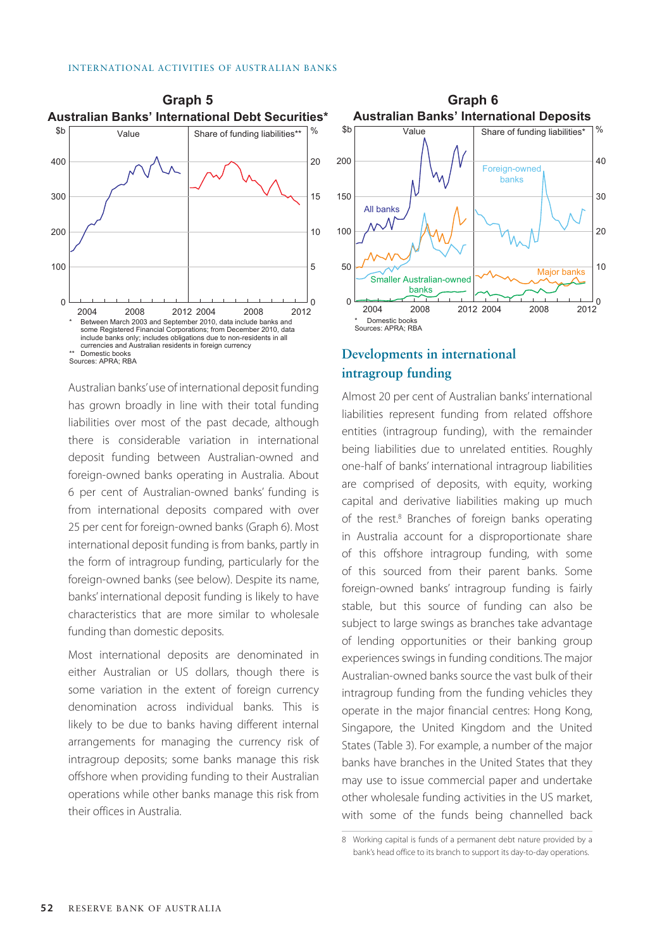

Australian banks' use of international deposit funding has grown broadly in line with their total funding liabilities over most of the past decade, although there is considerable variation in international deposit funding between Australian-owned and foreign-owned banks operating in Australia. About 6 per cent of Australian-owned banks' funding is from international deposits compared with over 25 per cent for foreign-owned banks (Graph 6). Most international deposit funding is from banks, partly in the form of intragroup funding, particularly for the foreign-owned banks (see below). Despite its name, banks' international deposit funding is likely to have characteristics that are more similar to wholesale funding than domestic deposits.

Most international deposits are denominated in either Australian or US dollars, though there is some variation in the extent of foreign currency denomination across individual banks. This is likely to be due to banks having different internal arrangements for managing the currency risk of intragroup deposits; some banks manage this risk offshore when providing funding to their Australian operations while other banks manage this risk from their offices in Australia.



## **Developments in international intragroup funding**

Almost 20 per cent of Australian banks' international liabilities represent funding from related offshore entities (intragroup funding), with the remainder being liabilities due to unrelated entities. Roughly one-half of banks' international intragroup liabilities are comprised of deposits, with equity, working capital and derivative liabilities making up much of the rest.<sup>8</sup> Branches of foreign banks operating in Australia account for a disproportionate share of this offshore intragroup funding, with some of this sourced from their parent banks. Some foreign-owned banks' intragroup funding is fairly stable, but this source of funding can also be subject to large swings as branches take advantage of lending opportunities or their banking group experiences swings in funding conditions. The major Australian-owned banks source the vast bulk of their intragroup funding from the funding vehicles they operate in the major financial centres: Hong Kong, Singapore, the United Kingdom and the United States (Table 3). For example, a number of the major banks have branches in the United States that they may use to issue commercial paper and undertake other wholesale funding activities in the US market, with some of the funds being channelled back

<sup>8</sup> Working capital is funds of a permanent debt nature provided by a bank's head office to its branch to support its day-to-day operations.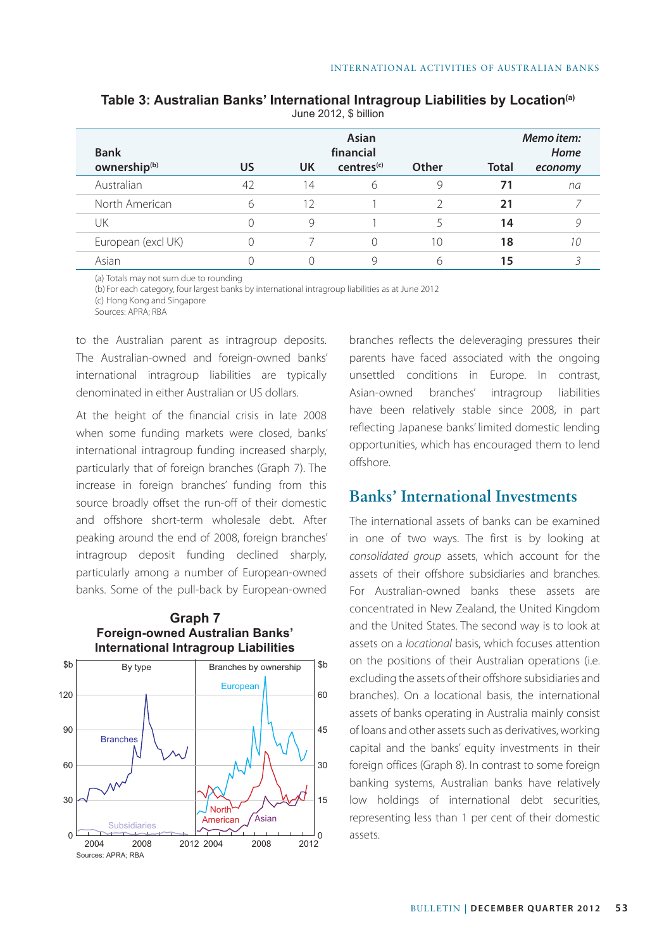| <b>Bank</b>              | Asian<br>financial |           |                        | Memo item:<br>Home |              |         |
|--------------------------|--------------------|-----------|------------------------|--------------------|--------------|---------|
| ownership <sup>(b)</sup> | <b>US</b>          | <b>UK</b> | centres <sup>(c)</sup> | Other              | <b>Total</b> | economy |
| Australian               | 42                 | 14        | 6                      | 9                  | 71           | na      |
| North American           | 6                  | 12        |                        |                    | 21           |         |
| UΚ                       |                    | $\circ$   |                        | 5.                 | 14           |         |
| European (excl UK)       |                    |           | 0                      | 10                 | 18           |         |
| Asian                    |                    |           | 9                      | 6                  | 15           |         |

**Table 3: Australian Banks' International Intragroup Liabilities by Location(a)**

June 2012, \$ billion

(a) Totals may not sum due to rounding

(b) For each category, four largest banks by international intragroup liabilities as at June 2012

(c) Hong Kong and Singapore

Sources: APRA; RBA

to the Australian parent as intragroup deposits. The Australian-owned and foreign-owned banks' international intragroup liabilities are typically denominated in either Australian or US dollars.

At the height of the financial crisis in late 2008 when some funding markets were closed, banks' international intragroup funding increased sharply, particularly that of foreign branches (Graph 7). The increase in foreign branches' funding from this source broadly offset the run-off of their domestic and offshore short-term wholesale debt. After peaking around the end of 2008, foreign branches' intragroup deposit funding declined sharply, particularly among a number of European-owned banks. Some of the pull-back by European-owned

#### **Graph 7 Foreign-owned Australian Banks' International Intragroup Liabilities**



branches reflects the deleveraging pressures their parents have faced associated with the ongoing unsettled conditions in Europe. In contrast, Asian-owned branches' intragroup liabilities have been relatively stable since 2008, in part reflecting Japanese banks' limited domestic lending opportunities, which has encouraged them to lend offshore.

# **Banks' International Investments**

The international assets of banks can be examined in one of two ways. The first is by looking at *consolidated group* assets, which account for the assets of their offshore subsidiaries and branches. For Australian-owned banks these assets are concentrated in New Zealand, the United Kingdom and the United States. The second way is to look at assets on a *locational* basis, which focuses attention on the positions of their Australian operations (i.e. excluding the assets of their offshore subsidiaries and branches). On a locational basis, the international assets of banks operating in Australia mainly consist of loans and other assets such as derivatives, working capital and the banks' equity investments in their foreign offices (Graph 8). In contrast to some foreign banking systems, Australian banks have relatively low holdings of international debt securities, representing less than 1 per cent of their domestic assets.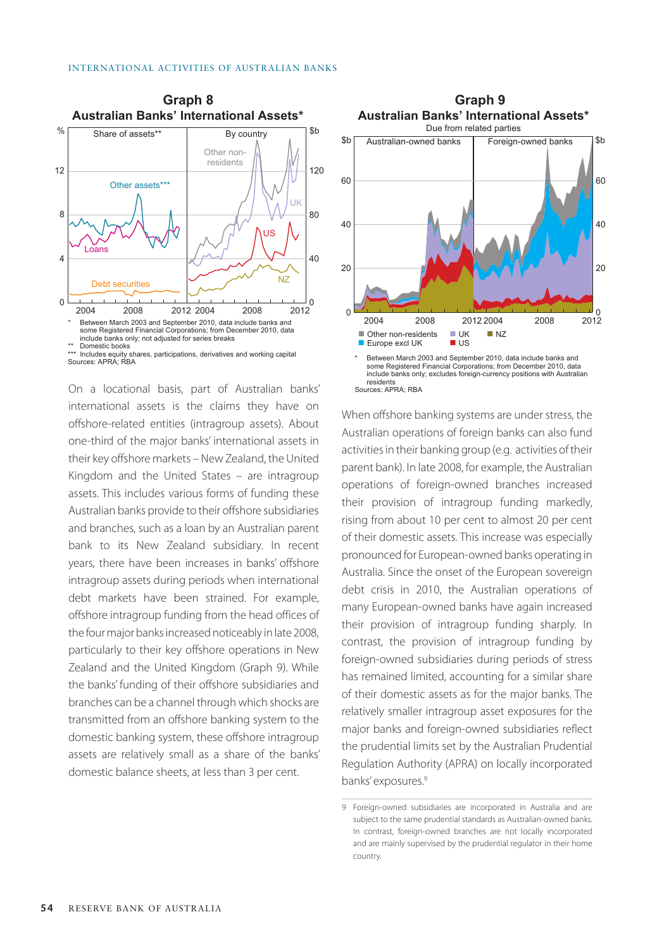

<sup>\*\*\*</sup> Includes equity shares, participations, derivatives and working capital Sources: APRA; RBA

On a locational basis, part of Australian banks' international assets is the claims they have on offshore-related entities (intragroup assets). About one-third of the major banks' international assets in their key offshore markets – New Zealand, the United Kingdom and the United States – are intragroup assets. This includes various forms of funding these Australian banks provide to their offshore subsidiaries and branches, such as a loan by an Australian parent bank to its New Zealand subsidiary. In recent years, there have been increases in banks' offshore intragroup assets during periods when international debt markets have been strained. For example, offshore intragroup funding from the head offices of the four major banks increased noticeably in late 2008, particularly to their key offshore operations in New Zealand and the United Kingdom (Graph 9). While the banks' funding of their offshore subsidiaries and branches can be a channel through which shocks are transmitted from an offshore banking system to the domestic banking system, these offshore intragroup assets are relatively small as a share of the banks' domestic balance sheets, at less than 3 per cent.



When offshore banking systems are under stress, the Australian operations of foreign banks can also fund activities in their banking group (e.g. activities of their parent bank). In late 2008, for example, the Australian operations of foreign-owned branches increased their provision of intragroup funding markedly, rising from about 10 per cent to almost 20 per cent of their domestic assets. This increase was especially pronounced for European-owned banks operating in Australia. Since the onset of the European sovereign debt crisis in 2010, the Australian operations of many European-owned banks have again increased their provision of intragroup funding sharply. In contrast, the provision of intragroup funding by foreign-owned subsidiaries during periods of stress has remained limited, accounting for a similar share of their domestic assets as for the major banks. The relatively smaller intragroup asset exposures for the major banks and foreign-owned subsidiaries reflect the prudential limits set by the Australian Prudential Regulation Authority (APRA) on locally incorporated banks' exposures.<sup>9</sup>

<sup>9</sup> Foreign-owned subsidiaries are incorporated in Australia and are subject to the same prudential standards as Australian-owned banks. In contrast, foreign-owned branches are not locally incorporated and are mainly supervised by the prudential regulator in their home country.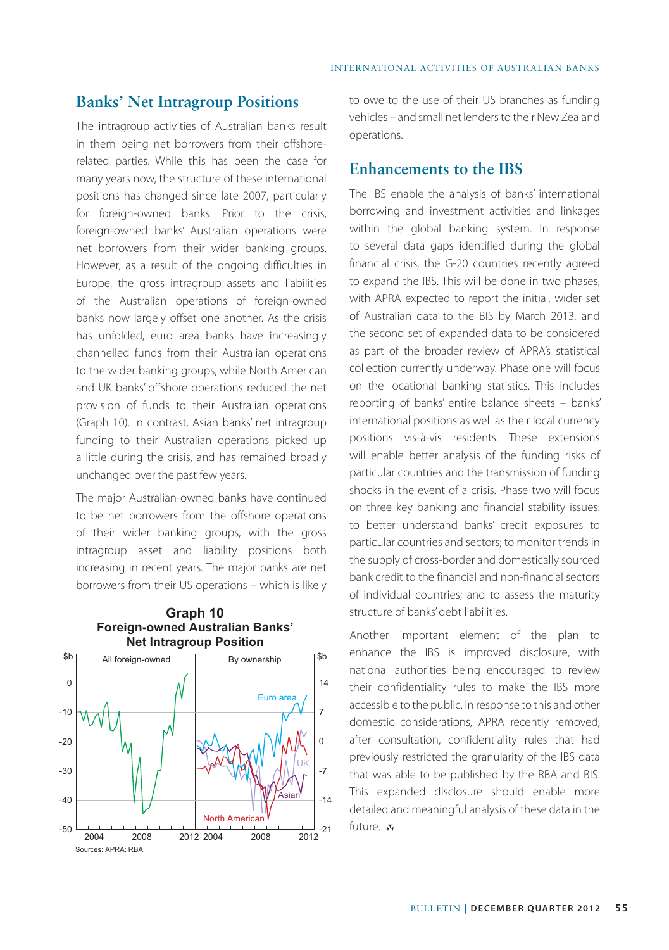### **Banks' Net Intragroup Positions**

The intragroup activities of Australian banks result in them being net borrowers from their offshorerelated parties. While this has been the case for many years now, the structure of these international positions has changed since late 2007, particularly for foreign-owned banks. Prior to the crisis, foreign-owned banks' Australian operations were net borrowers from their wider banking groups. However, as a result of the ongoing difficulties in Europe, the gross intragroup assets and liabilities of the Australian operations of foreign-owned banks now largely offset one another. As the crisis has unfolded, euro area banks have increasingly channelled funds from their Australian operations to the wider banking groups, while North American and UK banks' offshore operations reduced the net provision of funds to their Australian operations (Graph 10). In contrast, Asian banks' net intragroup funding to their Australian operations picked up a little during the crisis, and has remained broadly unchanged over the past few years.

The major Australian-owned banks have continued to be net borrowers from the offshore operations of their wider banking groups, with the gross intragroup asset and liability positions both increasing in recent years. The major banks are net borrowers from their US operations – which is likely

**Graph 10**



to owe to the use of their US branches as funding vehicles – and small net lenders to their New Zealand operations.

## **Enhancements to the IBS**

The IBS enable the analysis of banks' international borrowing and investment activities and linkages within the global banking system. In response to several data gaps identified during the global financial crisis, the G-20 countries recently agreed to expand the IBS. This will be done in two phases, with APRA expected to report the initial, wider set of Australian data to the BIS by March 2013, and the second set of expanded data to be considered as part of the broader review of APRA's statistical collection currently underway. Phase one will focus on the locational banking statistics. This includes reporting of banks' entire balance sheets – banks' international positions as well as their local currency positions vis-à-vis residents. These extensions will enable better analysis of the funding risks of particular countries and the transmission of funding shocks in the event of a crisis. Phase two will focus on three key banking and financial stability issues: to better understand banks' credit exposures to particular countries and sectors; to monitor trends in the supply of cross-border and domestically sourced bank credit to the financial and non-financial sectors of individual countries; and to assess the maturity structure of banks' debt liabilities.

Another important element of the plan to enhance the IBS is improved disclosure, with national authorities being encouraged to review their confidentiality rules to make the IBS more accessible to the public. In response to this and other domestic considerations, APRA recently removed, after consultation, confidentiality rules that had previously restricted the granularity of the IBS data that was able to be published by the RBA and BIS. This expanded disclosure should enable more detailed and meaningful analysis of these data in the future.  $\boldsymbol{\varkappa}$